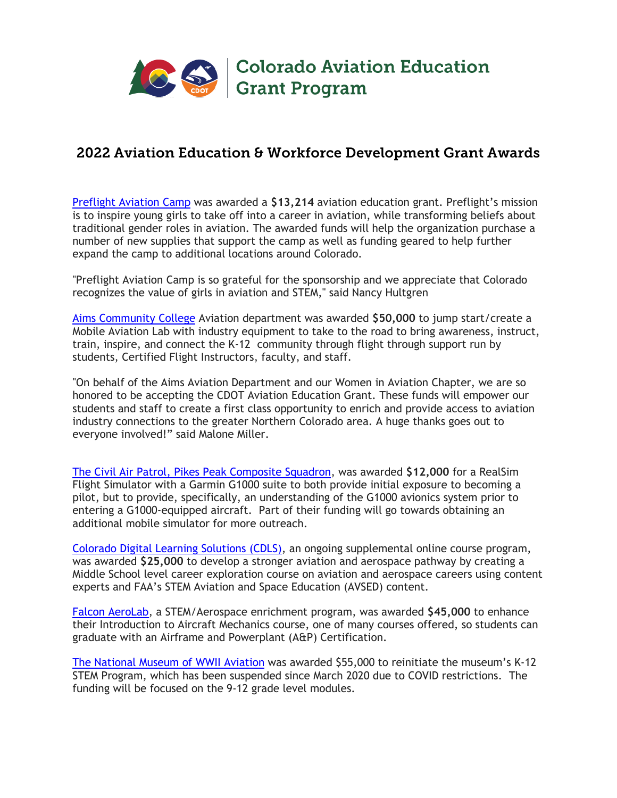

## 2022 Aviation Education & Workforce Development Grant Awards

Preflight Aviation Camp was awarded a **\$13,214** aviation education grant. Preflight's mission is to inspire young girls to take off into a career in aviation, while transforming beliefs about traditional gender roles in aviation. The awarded funds will help the organization purchase a number of new supplies that support the camp as well as funding geared to help further expand the camp to additional locations around Colorado.

"Preflight Aviation Camp is so grateful for the sponsorship and we appreciate that Colorado recognizes the value of girls in aviation and STEM," said Nancy Hultgren

Aims Community College Aviation department was awarded **\$50,000** to jump start/create a Mobile Aviation Lab with industry equipment to take to the road to bring awareness, instruct, train, inspire, and connect the K-12 community through flight through support run by students, Certified Flight Instructors, faculty, and staff.

"On behalf of the Aims Aviation Department and our Women in Aviation Chapter, we are so honored to be accepting the CDOT Aviation Education Grant. These funds will empower our students and staff to create a first class opportunity to enrich and provide access to aviation industry connections to the greater Northern Colorado area. A huge thanks goes out to everyone involved!" said Malone Miller.

The Civil Air Patrol, Pikes Peak Composite Squadron, was awarded **\$12,000** for a RealSim Flight Simulator with a Garmin G1000 suite to both provide initial exposure to becoming a pilot, but to provide, specifically, an understanding of the G1000 avionics system prior to entering a G1000-equipped aircraft. Part of their funding will go towards obtaining an additional mobile simulator for more outreach.

Colorado Digital Learning Solutions (CDLS), an ongoing supplemental online course program, was awarded **\$25,000** to develop a stronger aviation and aerospace pathway by creating a Middle School level career exploration course on aviation and aerospace careers using content experts and FAA's STEM Aviation and Space Education (AVSED) content.

Falcon AeroLab, a STEM/Aerospace enrichment program, was awarded **\$45,000** to enhance their Introduction to Aircraft Mechanics course, one of many courses offered, so students can graduate with an Airframe and Powerplant (A&P) Certification.

The National Museum of WWII Aviation was awarded \$55,000 to reinitiate the museum's K-12 STEM Program, which has been suspended since March 2020 due to COVID restrictions. The funding will be focused on the 9-12 grade level modules.